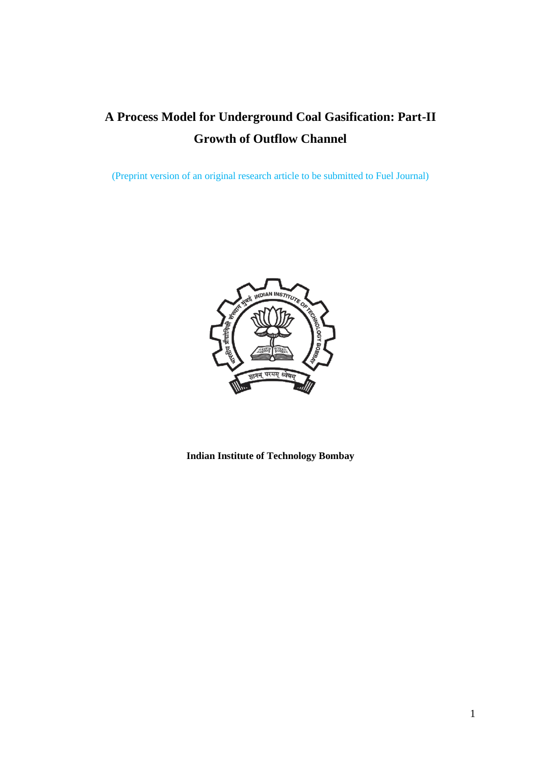# **A Process Model for Underground Coal Gasification: Part-II Growth of Outflow Channel**

(Preprint version of an original research article to be submitted to Fuel Journal)



**Indian Institute of Technology Bombay**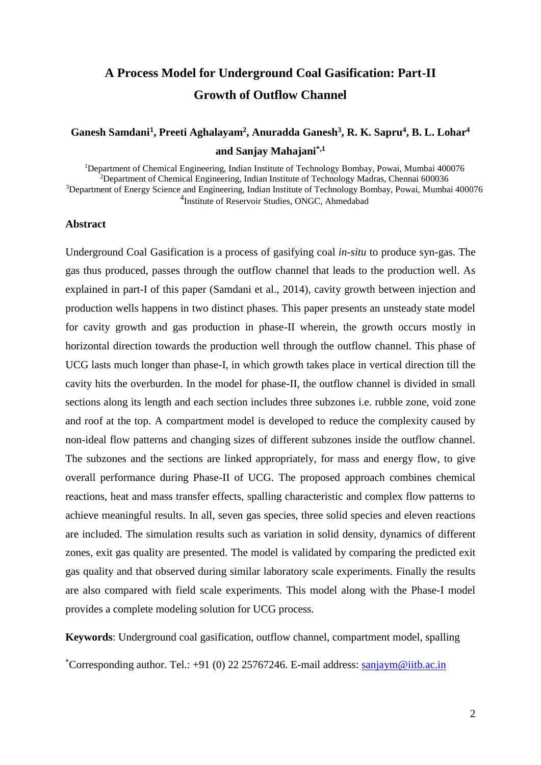## **A Process Model for Underground Coal Gasification: Part-II Growth of Outflow Channel**

## **Ganesh Samdani<sup>1</sup> , Preeti Aghalayam<sup>2</sup> , Anuradda Ganesh<sup>3</sup> , R. K. Sapru<sup>4</sup> , B. L. Lohar<sup>4</sup> and Sanjay Mahajani\*,1**

Department of Chemical Engineering, Indian Institute of Technology Bombay, Powai, Mumbai 400076 Department of Chemical Engineering, Indian Institute of Technology Madras, Chennai 600036 <sup>3</sup>Department of Energy Science and Engineering, Indian Institute of Technology Bombay, Powai, Mumbai 400076 Institute of Reservoir Studies, ONGC, Ahmedabad

## **Abstract**

Underground Coal Gasification is a process of gasifying coal *in-situ* to produce syn-gas. The gas thus produced, passes through the outflow channel that leads to the production well. As explained in part-I of this paper (Samdani et al., 2014), cavity growth between injection and production wells happens in two distinct phases. This paper presents an unsteady state model for cavity growth and gas production in phase-II wherein, the growth occurs mostly in horizontal direction towards the production well through the outflow channel. This phase of UCG lasts much longer than phase-I, in which growth takes place in vertical direction till the cavity hits the overburden. In the model for phase-II, the outflow channel is divided in small sections along its length and each section includes three subzones i.e. rubble zone, void zone and roof at the top. A compartment model is developed to reduce the complexity caused by non-ideal flow patterns and changing sizes of different subzones inside the outflow channel. The subzones and the sections are linked appropriately, for mass and energy flow, to give overall performance during Phase-II of UCG. The proposed approach combines chemical reactions, heat and mass transfer effects, spalling characteristic and complex flow patterns to achieve meaningful results. In all, seven gas species, three solid species and eleven reactions are included. The simulation results such as variation in solid density, dynamics of different zones, exit gas quality are presented. The model is validated by comparing the predicted exit gas quality and that observed during similar laboratory scale experiments. Finally the results are also compared with field scale experiments. This model along with the Phase-I model provides a complete modeling solution for UCG process.

**Keywords**: Underground coal gasification, outflow channel, compartment model, spalling

\*Corresponding author. Tel.:  $+91$  (0) 22 25767246. E-mail address: [sanjaym@iitb.ac.in](mailto:sanjaym@iitb.ac.in)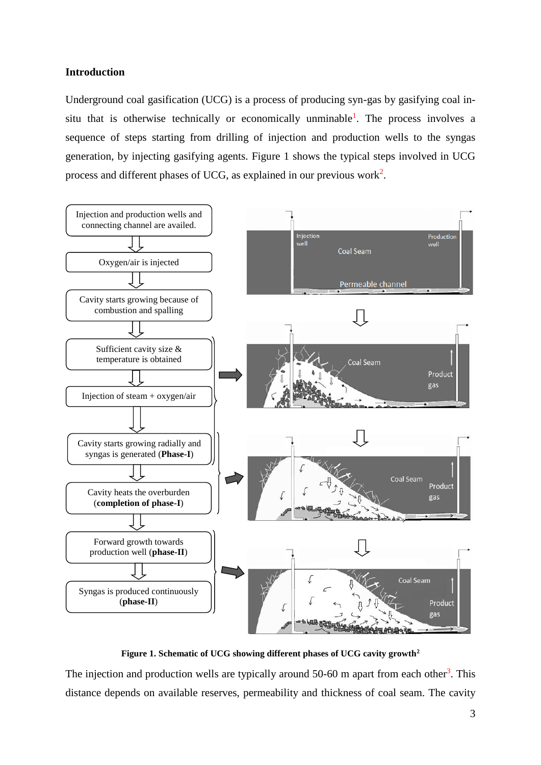## **Introduction**

Underground coal gasification (UCG) is a process of producing syn-gas by gasifying coal insitu that is otherwise technically or economically unminable<sup>1</sup>. The process involves a sequence of steps starting from drilling of injection and production wells to the syngas generation, by injecting gasifying agents. Figure 1 shows the typical steps involved in UCG process and different phases of UCG, as explained in our previous work<sup>2</sup>.



**Figure 1. Schematic of UCG showing different phases of UCG cavity growth<sup>2</sup>**

The injection and production wells are typically around 50-60 m apart from each other<sup>3</sup>. This distance depends on available reserves, permeability and thickness of coal seam. The cavity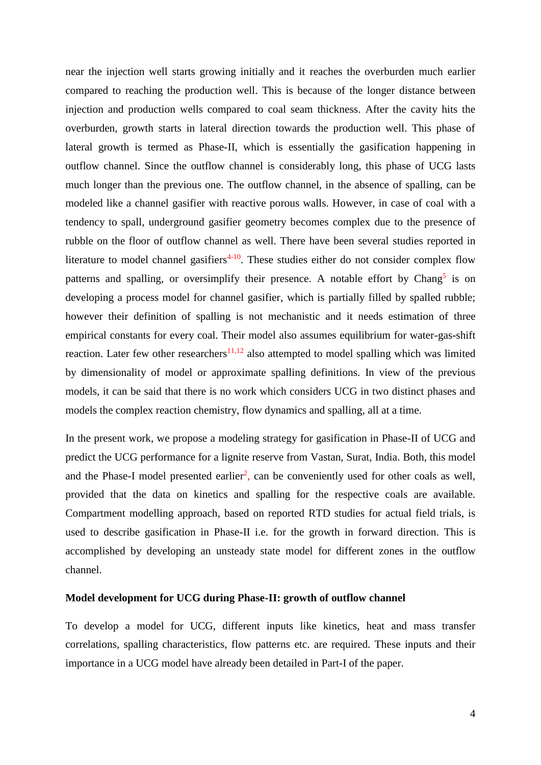near the injection well starts growing initially and it reaches the overburden much earlier compared to reaching the production well. This is because of the longer distance between injection and production wells compared to coal seam thickness. After the cavity hits the overburden, growth starts in lateral direction towards the production well. This phase of lateral growth is termed as Phase-II, which is essentially the gasification happening in outflow channel. Since the outflow channel is considerably long, this phase of UCG lasts much longer than the previous one. The outflow channel, in the absence of spalling, can be modeled like a channel gasifier with reactive porous walls. However, in case of coal with a tendency to spall, underground gasifier geometry becomes complex due to the presence of rubble on the floor of outflow channel as well. There have been several studies reported in literature to model channel gasifiers<sup> $4-10$ </sup>. These studies either do not consider complex flow patterns and spalling, or oversimplify their presence. A notable effort by Chang<sup>5</sup> is on developing a process model for channel gasifier, which is partially filled by spalled rubble; however their definition of spalling is not mechanistic and it needs estimation of three empirical constants for every coal. Their model also assumes equilibrium for water-gas-shift reaction. Later few other researchers<sup>11,12</sup> also attempted to model spalling which was limited by dimensionality of model or approximate spalling definitions. In view of the previous models, it can be said that there is no work which considers UCG in two distinct phases and models the complex reaction chemistry, flow dynamics and spalling, all at a time.

In the present work, we propose a modeling strategy for gasification in Phase-II of UCG and predict the UCG performance for a lignite reserve from Vastan, Surat, India. Both, this model and the Phase-I model presented earlier<sup>2</sup>, can be conveniently used for other coals as well, provided that the data on kinetics and spalling for the respective coals are available. Compartment modelling approach, based on reported RTD studies for actual field trials, is used to describe gasification in Phase-II i.e. for the growth in forward direction. This is accomplished by developing an unsteady state model for different zones in the outflow channel.

## **Model development for UCG during Phase-II: growth of outflow channel**

To develop a model for UCG, different inputs like kinetics, heat and mass transfer correlations, spalling characteristics, flow patterns etc. are required. These inputs and their importance in a UCG model have already been detailed in Part-I of the paper.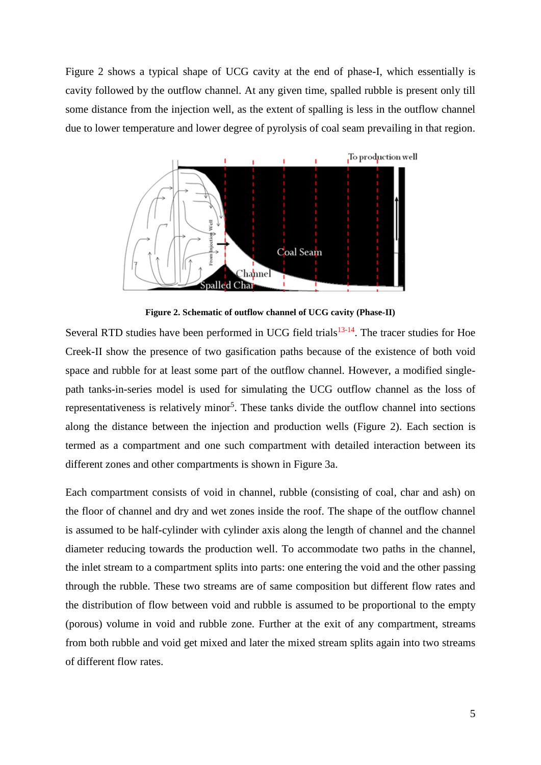Figure 2 shows a typical shape of UCG cavity at the end of phase-I, which essentially is cavity followed by the outflow channel. At any given time, spalled rubble is present only till some distance from the injection well, as the extent of spalling is less in the outflow channel due to lower temperature and lower degree of pyrolysis of coal seam prevailing in that region.



**Figure 2. Schematic of outflow channel of UCG cavity (Phase-II)**

Several RTD studies have been performed in UCG field trials $13-14$ . The tracer studies for Hoe Creek-II show the presence of two gasification paths because of the existence of both void space and rubble for at least some part of the outflow channel. However, a modified singlepath tanks-in-series model is used for simulating the UCG outflow channel as the loss of representativeness is relatively minor<sup>5</sup>. These tanks divide the outflow channel into sections along the distance between the injection and production wells (Figure 2). Each section is termed as a compartment and one such compartment with detailed interaction between its different zones and other compartments is shown in [Figure](#page-5-0) 3a.

Each compartment consists of void in channel, rubble (consisting of coal, char and ash) on the floor of channel and dry and wet zones inside the roof. The shape of the outflow channel is assumed to be half-cylinder with cylinder axis along the length of channel and the channel diameter reducing towards the production well. To accommodate two paths in the channel, the inlet stream to a compartment splits into parts: one entering the void and the other passing through the rubble. These two streams are of same composition but different flow rates and the distribution of flow between void and rubble is assumed to be proportional to the empty (porous) volume in void and rubble zone. Further at the exit of any compartment, streams from both rubble and void get mixed and later the mixed stream splits again into two streams of different flow rates.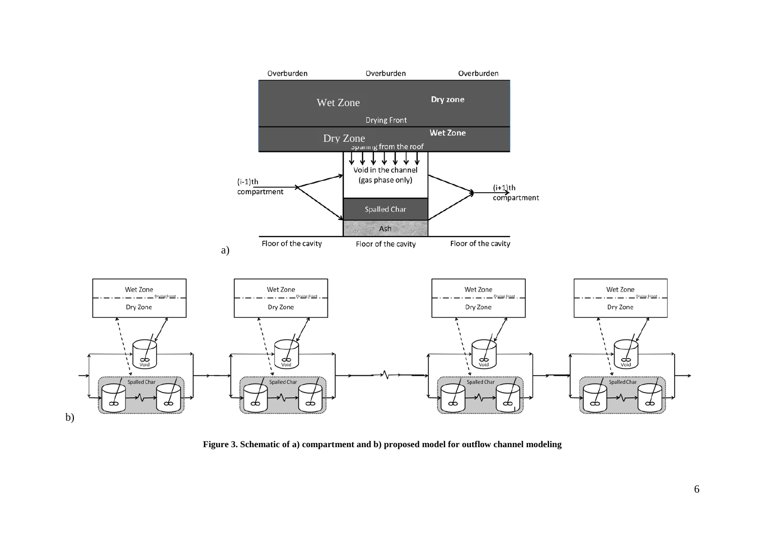

<span id="page-5-0"></span>**Figure 3. Schematic of a) compartment and b) proposed model for outflow channel modeling**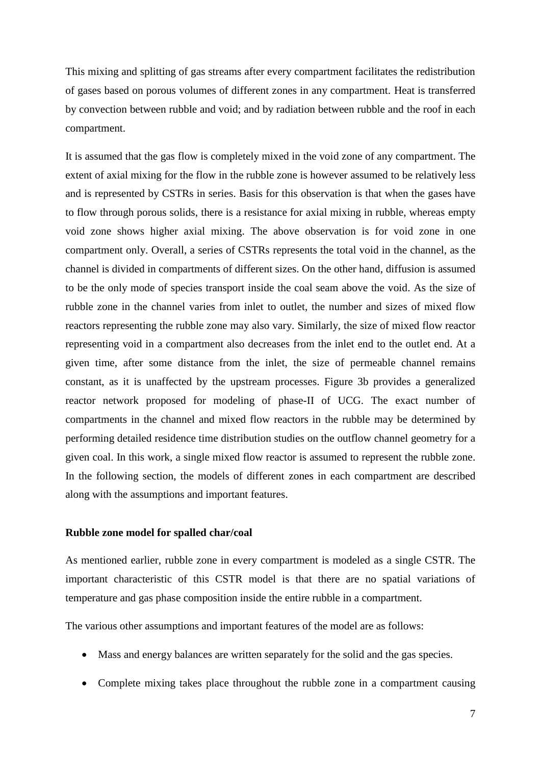This mixing and splitting of gas streams after every compartment facilitates the redistribution of gases based on porous volumes of different zones in any compartment. Heat is transferred by convection between rubble and void; and by radiation between rubble and the roof in each compartment.

It is assumed that the gas flow is completely mixed in the void zone of any compartment. The extent of axial mixing for the flow in the rubble zone is however assumed to be relatively less and is represented by CSTRs in series. Basis for this observation is that when the gases have to flow through porous solids, there is a resistance for axial mixing in rubble, whereas empty void zone shows higher axial mixing. The above observation is for void zone in one compartment only. Overall, a series of CSTRs represents the total void in the channel, as the channel is divided in compartments of different sizes. On the other hand, diffusion is assumed to be the only mode of species transport inside the coal seam above the void. As the size of rubble zone in the channel varies from inlet to outlet, the number and sizes of mixed flow reactors representing the rubble zone may also vary. Similarly, the size of mixed flow reactor representing void in a compartment also decreases from the inlet end to the outlet end. At a given time, after some distance from the inlet, the size of permeable channel remains constant, as it is unaffected by the upstream processes. [Figure](#page-5-0) 3b provides a generalized reactor network proposed for modeling of phase-II of UCG. The exact number of compartments in the channel and mixed flow reactors in the rubble may be determined by performing detailed residence time distribution studies on the outflow channel geometry for a given coal. In this work, a single mixed flow reactor is assumed to represent the rubble zone. In the following section, the models of different zones in each compartment are described along with the assumptions and important features.

#### **Rubble zone model for spalled char/coal**

As mentioned earlier, rubble zone in every compartment is modeled as a single CSTR. The important characteristic of this CSTR model is that there are no spatial variations of temperature and gas phase composition inside the entire rubble in a compartment.

The various other assumptions and important features of the model are as follows:

- Mass and energy balances are written separately for the solid and the gas species.
- Complete mixing takes place throughout the rubble zone in a compartment causing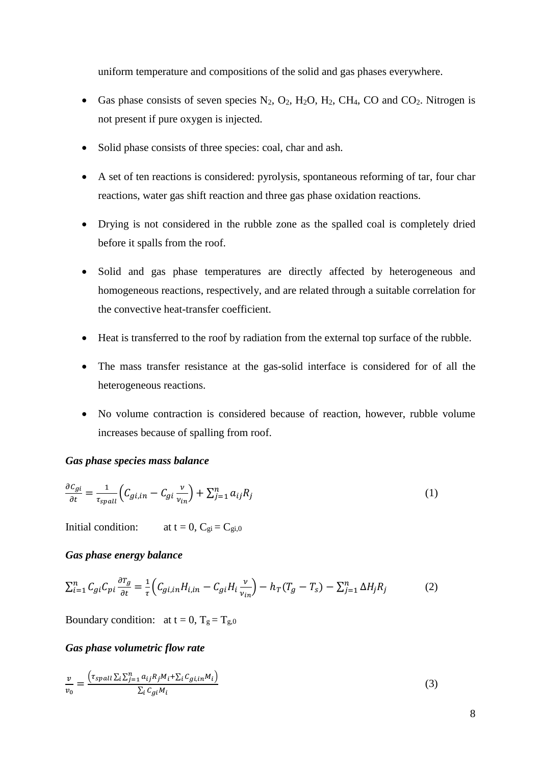uniform temperature and compositions of the solid and gas phases everywhere.

- Gas phase consists of seven species  $N_2$ ,  $O_2$ ,  $H_2O$ ,  $H_2$ ,  $CH_4$ ,  $CO$  and  $CO_2$ . Nitrogen is not present if pure oxygen is injected.
- Solid phase consists of three species: coal, char and ash.
- A set of ten reactions is considered: pyrolysis, spontaneous reforming of tar, four char reactions, water gas shift reaction and three gas phase oxidation reactions.
- Drying is not considered in the rubble zone as the spalled coal is completely dried before it spalls from the roof.
- Solid and gas phase temperatures are directly affected by heterogeneous and homogeneous reactions, respectively, and are related through a suitable correlation for the convective heat-transfer coefficient.
- Heat is transferred to the roof by radiation from the external top surface of the rubble.
- The mass transfer resistance at the gas-solid interface is considered for of all the heterogeneous reactions.
- No volume contraction is considered because of reaction, however, rubble volume increases because of spalling from roof.

#### *Gas phase species mass balance*

$$
\frac{\partial c_{gi}}{\partial t} = \frac{1}{\tau_{spall}} \left( C_{gi,in} - C_{gi} \frac{\nu}{\nu_{in}} \right) + \sum_{j=1}^{n} a_{ij} R_j \tag{1}
$$

Initial condition:  $at t = 0, C_{gi} = C_{gi,0}$ 

#### *Gas phase energy balance*

$$
\sum_{i=1}^{n} C_{gi} C_{pi} \frac{\partial \tau_g}{\partial t} = \frac{1}{\tau} \Big( C_{gi,in} H_{i,in} - C_{gi} H_i \frac{\nu}{\nu_{in}} \Big) - h_T (T_g - T_s) - \sum_{j=1}^{n} \Delta H_j R_j \tag{2}
$$

Boundary condition: at  $t = 0$ ,  $T_g = T_{g,0}$ 

## *Gas phase volumetric flow rate*

$$
\frac{v}{v_0} = \frac{\left(\tau_{spall} \sum_i \sum_{j=1}^n a_{ij} R_j M_i + \sum_i C_{g i, in} M_i\right)}{\sum_i C_{g i} M_i}
$$
\n
$$
\tag{3}
$$

8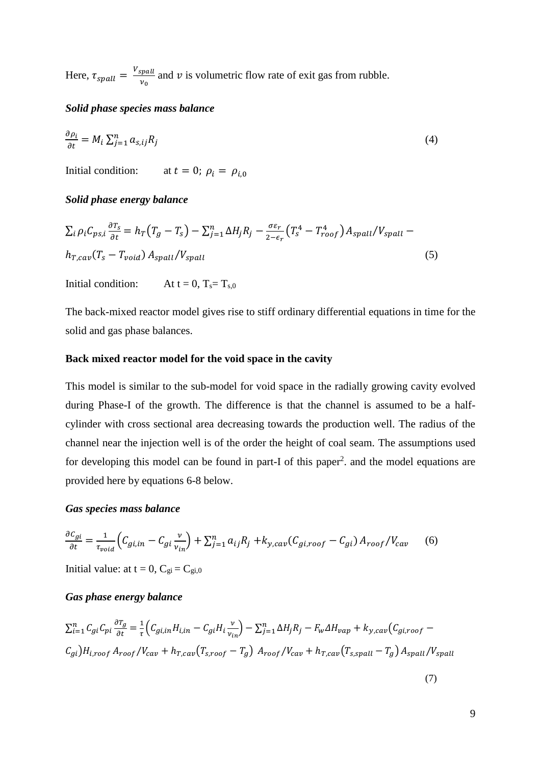Here,  $\tau_{spall} = \frac{V_{spall}}{V_{spall}}$  $\frac{p \cdot p \cdot \hat{p}}{v_0}$  and v is volumetric flow rate of exit gas from rubble.

## *Solid phase species mass balance*

$$
\frac{\partial \rho_i}{\partial t} = M_i \sum_{j=1}^n a_{s,ij} R_j \tag{4}
$$

Initial condition: at  $t = 0$ ;  $\rho_i = \rho_{i,0}$ 

## *Solid phase energy balance*

$$
\sum_{i} \rho_{i} C_{ps,i} \frac{\partial T_{s}}{\partial t} = h_{T} (T_{g} - T_{s}) - \sum_{j=1}^{n} \Delta H_{j} R_{j} - \frac{\sigma \varepsilon_{r}}{2 - \varepsilon_{r}} (T_{s}^{4} - T_{roof}^{4}) A_{spall} / V_{spall} -
$$
  

$$
h_{T, cav} (T_{s} - T_{void}) A_{spall} / V_{spall}
$$
 (5)

Initial condition: At  $t = 0$ ,  $T_s = T_s$ <sub>0</sub>

The back-mixed reactor model gives rise to stiff ordinary differential equations in time for the solid and gas phase balances.

#### **Back mixed reactor model for the void space in the cavity**

This model is similar to the sub-model for void space in the radially growing cavity evolved during Phase-I of the growth. The difference is that the channel is assumed to be a halfcylinder with cross sectional area decreasing towards the production well. The radius of the channel near the injection well is of the order the height of coal seam. The assumptions used for developing this model can be found in part-I of this paper<sup>2</sup>, and the model equations are provided here by equations 6-8 below.

#### *Gas species mass balance*

$$
\frac{\partial c_{gi}}{\partial t} = \frac{1}{\tau_{void}} \Big( C_{gi,in} - C_{gi} \frac{v}{v_{in}} \Big) + \sum_{j=1}^{n} a_{ij} R_j + k_{y, cav} (C_{gi,roof} - C_{gi}) A_{roof} / V_{cav} \tag{6}
$$

Initial value: at  $t = 0$ ,  $C_{gi} = C_{gi,0}$ 

## *Gas phase energy balance*

$$
\sum_{i=1}^{n} C_{gi} C_{pi} \frac{\partial T_g}{\partial t} = \frac{1}{\tau} \Big( C_{gi,in} H_{i,in} - C_{gi} H_i \frac{v}{v_{in}} \Big) - \sum_{j=1}^{n} \Delta H_j R_j - F_w \Delta H_{vap} + k_{y, cav} \Big( C_{gi,roof} - C_{gi} \Big) H_{i,roof} A_{roof} / V_{cav} + h_{T, cav} \Big( T_{s,roof} - T_g \Big) A_{roof} / V_{cav} + h_{T, cav} \Big( T_{s,spall} - T_g \Big) A_{spall} / V_{spall}
$$

(7)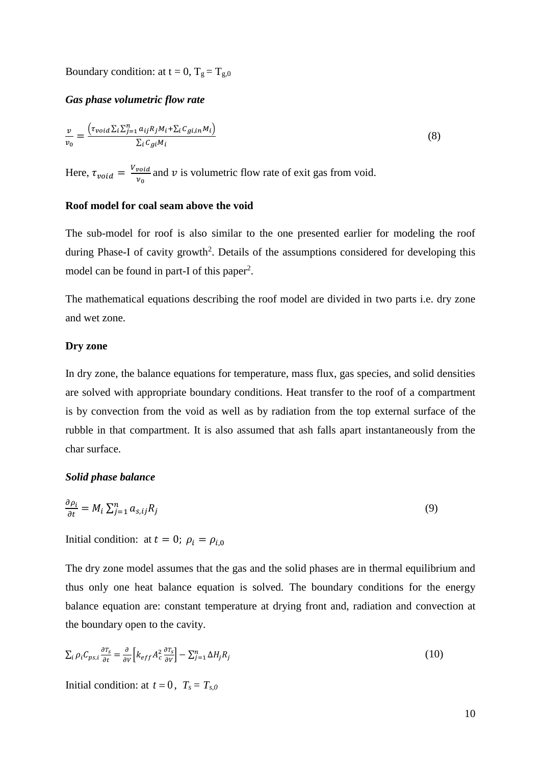Boundary condition: at  $t = 0$ ,  $T_g = T_{g,0}$ 

#### *Gas phase volumetric flow rate*

$$
\frac{v}{v_0} = \frac{\left(\tau_{void} \sum_{i} \sum_{j=1}^{n} a_{ij} R_j M_i + \sum_{i} C_{g i, in} M_i\right)}{\sum_{i} C_{g i} M_i}
$$
\n(8)

Here,  $\tau_{void} = \frac{V_{void}}{V}$  $\frac{v_{old}}{v_0}$  and  $v$  is volumetric flow rate of exit gas from void.

## **Roof model for coal seam above the void**

The sub-model for roof is also similar to the one presented earlier for modeling the roof during Phase-I of cavity growth<sup>2</sup>. Details of the assumptions considered for developing this model can be found in part-I of this paper<sup>2</sup>.

The mathematical equations describing the roof model are divided in two parts i.e. dry zone and wet zone.

#### **Dry zone**

In dry zone, the balance equations for temperature, mass flux, gas species, and solid densities are solved with appropriate boundary conditions. Heat transfer to the roof of a compartment is by convection from the void as well as by radiation from the top external surface of the rubble in that compartment. It is also assumed that ash falls apart instantaneously from the char surface.

#### *Solid phase balance*

$$
\frac{\partial \rho_i}{\partial t} = M_i \sum_{j=1}^n a_{s,ij} R_j \tag{9}
$$

Initial condition: at  $t = 0$ ;  $\rho_i = \rho_{i,0}$ 

The dry zone model assumes that the gas and the solid phases are in thermal equilibrium and thus only one heat balance equation is solved. The boundary conditions for the energy balance equation are: constant temperature at drying front and, radiation and convection at the boundary open to the cavity.

$$
\sum_{i} \rho_i C_{ps,i} \frac{\partial \tau_s}{\partial t} = \frac{\partial}{\partial v} \left[ k_{eff} A_c^2 \frac{\partial \tau_s}{\partial v} \right] - \sum_{j=1}^n \Delta H_j R_j \tag{10}
$$

Initial condition: at  $t = 0$ ,  $T_s = T_{s,0}$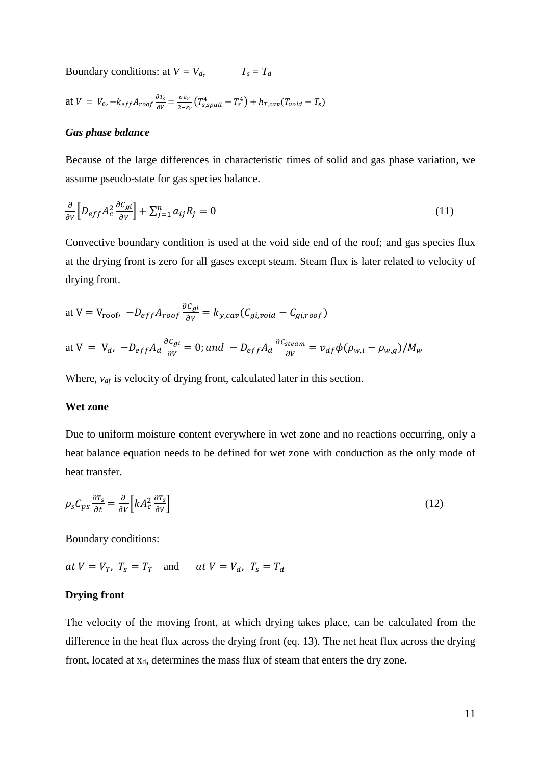Boundary conditions: at  $V = V_d$ ,  $T_s = T_d$ 

at 
$$
V = V_0
$$
,  $-k_{eff}A_{roof} \frac{\partial T_s}{\partial V} = \frac{\sigma \varepsilon_r}{2-\varepsilon_r} \left( T_{s,spall}^4 - T_s^4 \right) + h_{T, cav} (T_{void} - T_s)$ 

#### *Gas phase balance*

Because of the large differences in characteristic times of solid and gas phase variation, we assume pseudo-state for gas species balance.

$$
\frac{\partial}{\partial v} \left[ D_{eff} A_c^2 \frac{\partial c_{gi}}{\partial v} \right] + \sum_{j=1}^n a_{ij} R_j = 0 \tag{11}
$$

Convective boundary condition is used at the void side end of the roof; and gas species flux at the drying front is zero for all gases except steam. Steam flux is later related to velocity of drying front.

at V = V<sub>roof</sub>, 
$$
-D_{eff}A_{roof}\frac{\partial c_{gi}}{\partial v} = k_{y, cav}(C_{gi, void} - C_{gi, roof})
$$

at V = V<sub>d</sub>, 
$$
-D_{eff}A_d \frac{\partial c_{gi}}{\partial v} = 0
$$
; and  $-D_{eff}A_d \frac{\partial c_{steam}}{\partial v} = v_{df} \phi (\rho_{w,l} - \rho_{w,g})/M_w$ 

Where,  $v_{df}$  is velocity of drying front, calculated later in this section.

#### **Wet zone**

Due to uniform moisture content everywhere in wet zone and no reactions occurring, only a heat balance equation needs to be defined for wet zone with conduction as the only mode of heat transfer.

$$
\rho_s C_{ps} \frac{\partial \tau_s}{\partial t} = \frac{\partial}{\partial V} \left[ k A_c^2 \frac{\partial \tau_s}{\partial V} \right] \tag{12}
$$

Boundary conditions:

 $at V = V_T$ ,  $T_s = T_T$  and  $at V = V_d$ ,  $T_s = T_d$ 

#### **Drying front**

The velocity of the moving front, at which drying takes place, can be calculated from the difference in the heat flux across the drying front (eq. 13). The net heat flux across the drying front, located at  $x_d$ , determines the mass flux of steam that enters the dry zone.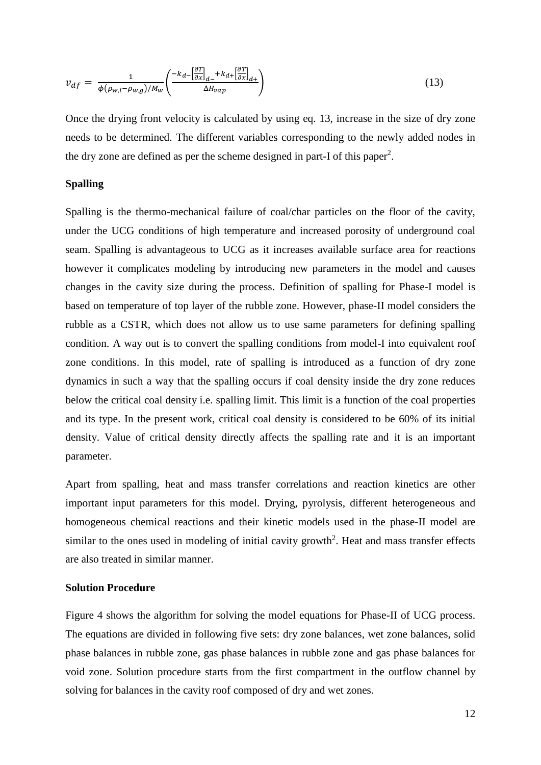$$
v_{df} = \frac{1}{\phi(\rho_{w,l} - \rho_{w,g})/M_w} \left( \frac{-k_{d-} \left[ \frac{\partial T}{\partial x} \right]_{d-} + k_{d+} \left[ \frac{\partial T}{\partial x} \right]_{d+}}{\Delta H_{vap}} \right) \tag{13}
$$

Once the drying front velocity is calculated by using eq. 13, increase in the size of dry zone needs to be determined. The different variables corresponding to the newly added nodes in the dry zone are defined as per the scheme designed in part-I of this paper<sup>2</sup>.

### **Spalling**

Spalling is the thermo-mechanical failure of coal/char particles on the floor of the cavity, under the UCG conditions of high temperature and increased porosity of underground coal seam. Spalling is advantageous to UCG as it increases available surface area for reactions however it complicates modeling by introducing new parameters in the model and causes changes in the cavity size during the process. Definition of spalling for Phase-I model is based on temperature of top layer of the rubble zone. However, phase-II model considers the rubble as a CSTR, which does not allow us to use same parameters for defining spalling condition. A way out is to convert the spalling conditions from model-I into equivalent roof zone conditions. In this model, rate of spalling is introduced as a function of dry zone dynamics in such a way that the spalling occurs if coal density inside the dry zone reduces below the critical coal density i.e. spalling limit. This limit is a function of the coal properties and its type. In the present work, critical coal density is considered to be 60% of its initial density. Value of critical density directly affects the spalling rate and it is an important parameter.

Apart from spalling, heat and mass transfer correlations and reaction kinetics are other important input parameters for this model. Drying, pyrolysis, different heterogeneous and homogeneous chemical reactions and their kinetic models used in the phase-II model are similar to the ones used in modeling of initial cavity growth<sup>2</sup>. Heat and mass transfer effects are also treated in similar manner.

#### **Solution Procedure**

[Figure](#page-12-0) 4 shows the algorithm for solving the model equations for Phase-II of UCG process. The equations are divided in following five sets: dry zone balances, wet zone balances, solid phase balances in rubble zone, gas phase balances in rubble zone and gas phase balances for void zone. Solution procedure starts from the first compartment in the outflow channel by solving for balances in the cavity roof composed of dry and wet zones.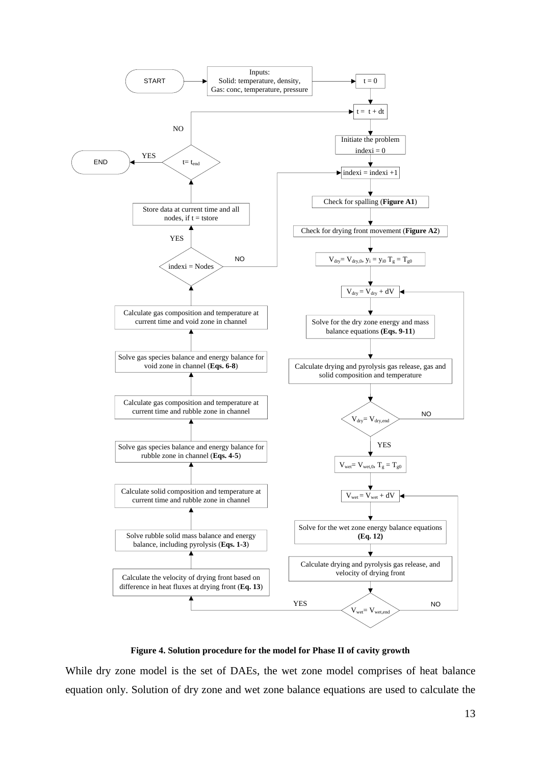

**Figure 4. Solution procedure for the model for Phase II of cavity growth**

<span id="page-12-0"></span>While dry zone model is the set of DAEs, the wet zone model comprises of heat balance equation only. Solution of dry zone and wet zone balance equations are used to calculate the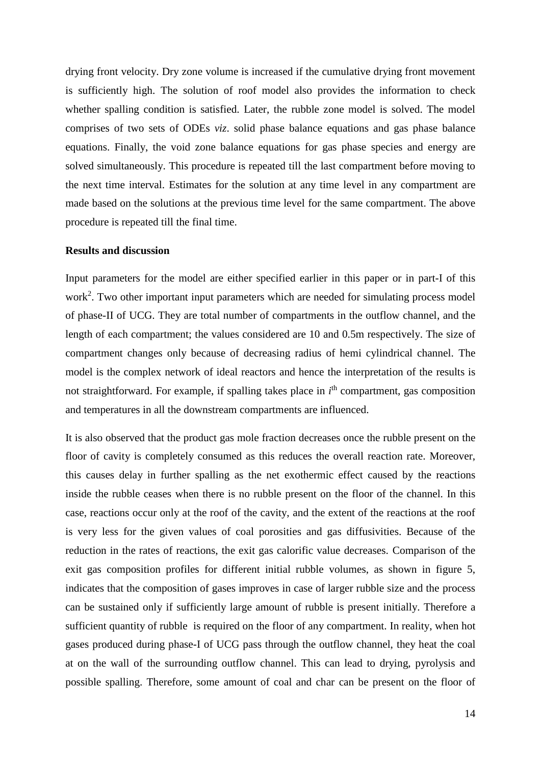drying front velocity. Dry zone volume is increased if the cumulative drying front movement is sufficiently high. The solution of roof model also provides the information to check whether spalling condition is satisfied. Later, the rubble zone model is solved. The model comprises of two sets of ODEs *viz*. solid phase balance equations and gas phase balance equations. Finally, the void zone balance equations for gas phase species and energy are solved simultaneously. This procedure is repeated till the last compartment before moving to the next time interval. Estimates for the solution at any time level in any compartment are made based on the solutions at the previous time level for the same compartment. The above procedure is repeated till the final time.

#### **Results and discussion**

Input parameters for the model are either specified earlier in this paper or in part-I of this work<sup>2</sup> . Two other important input parameters which are needed for simulating process model of phase-II of UCG. They are total number of compartments in the outflow channel, and the length of each compartment; the values considered are 10 and 0.5m respectively. The size of compartment changes only because of decreasing radius of hemi cylindrical channel. The model is the complex network of ideal reactors and hence the interpretation of the results is not straightforward. For example, if spalling takes place in *i*<sup>th</sup> compartment, gas composition and temperatures in all the downstream compartments are influenced.

It is also observed that the product gas mole fraction decreases once the rubble present on the floor of cavity is completely consumed as this reduces the overall reaction rate. Moreover, this causes delay in further spalling as the net exothermic effect caused by the reactions inside the rubble ceases when there is no rubble present on the floor of the channel. In this case, reactions occur only at the roof of the cavity, and the extent of the reactions at the roof is very less for the given values of coal porosities and gas diffusivities. Because of the reduction in the rates of reactions, the exit gas calorific value decreases. Comparison of the exit gas composition profiles for different initial rubble volumes, as shown in figure 5, indicates that the composition of gases improves in case of larger rubble size and the process can be sustained only if sufficiently large amount of rubble is present initially. Therefore a sufficient quantity of rubble is required on the floor of any compartment. In reality, when hot gases produced during phase-I of UCG pass through the outflow channel, they heat the coal at on the wall of the surrounding outflow channel. This can lead to drying, pyrolysis and possible spalling. Therefore, some amount of coal and char can be present on the floor of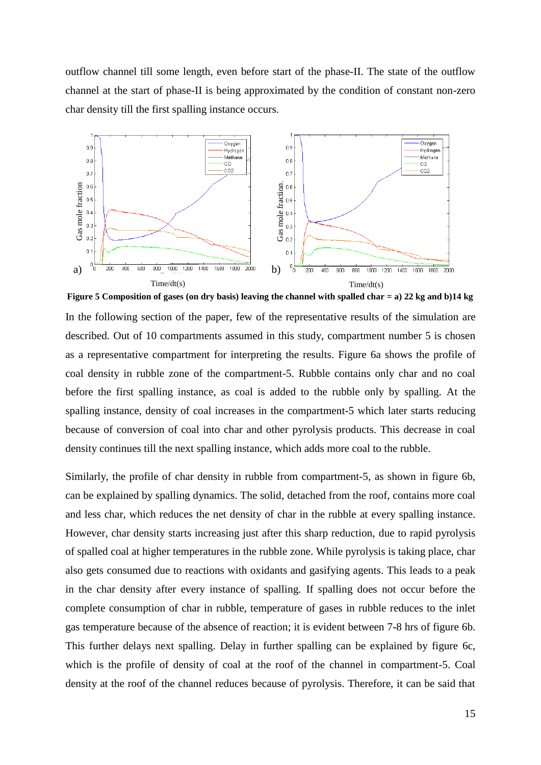outflow channel till some length, even before start of the phase-II. The state of the outflow channel at the start of phase-II is being approximated by the condition of constant non-zero char density till the first spalling instance occurs.



**Figure 5 Composition of gases (on dry basis) leaving the channel with spalled char = a) 22 kg and b)14 kg** In the following section of the paper, few of the representative results of the simulation are described. Out of 10 compartments assumed in this study, compartment number 5 is chosen as a representative compartment for interpreting the results. Figure 6a shows the profile of coal density in rubble zone of the compartment-5. Rubble contains only char and no coal before the first spalling instance, as coal is added to the rubble only by spalling. At the spalling instance, density of coal increases in the compartment-5 which later starts reducing because of conversion of coal into char and other pyrolysis products. This decrease in coal density continues till the next spalling instance, which adds more coal to the rubble.

Similarly, the profile of char density in rubble from compartment-5, as shown in figure 6b, can be explained by spalling dynamics. The solid, detached from the roof, contains more coal and less char, which reduces the net density of char in the rubble at every spalling instance. However, char density starts increasing just after this sharp reduction, due to rapid pyrolysis of spalled coal at higher temperatures in the rubble zone. While pyrolysis is taking place, char also gets consumed due to reactions with oxidants and gasifying agents. This leads to a peak in the char density after every instance of spalling. If spalling does not occur before the complete consumption of char in rubble, temperature of gases in rubble reduces to the inlet gas temperature because of the absence of reaction; it is evident between 7-8 hrs of figure 6b. This further delays next spalling. Delay in further spalling can be explained by figure 6c, which is the profile of density of coal at the roof of the channel in compartment-5. Coal density at the roof of the channel reduces because of pyrolysis. Therefore, it can be said that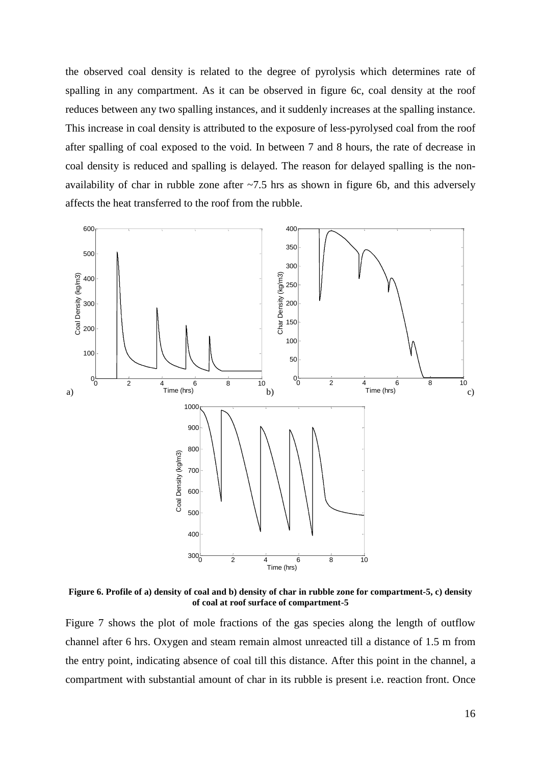the observed coal density is related to the degree of pyrolysis which determines rate of spalling in any compartment. As it can be observed in figure 6c, coal density at the roof reduces between any two spalling instances, and it suddenly increases at the spalling instance. This increase in coal density is attributed to the exposure of less-pyrolysed coal from the roof after spalling of coal exposed to the void. In between 7 and 8 hours, the rate of decrease in coal density is reduced and spalling is delayed. The reason for delayed spalling is the nonavailability of char in rubble zone after  $\sim$ 7.5 hrs as shown in figure 6b, and this adversely affects the heat transferred to the roof from the rubble.



**Figure 6. Profile of a) density of coal and b) density of char in rubble zone for compartment-5, c) density of coal at roof surface of compartment-5**

Figure 7 shows the plot of mole fractions of the gas species along the length of outflow channel after 6 hrs. Oxygen and steam remain almost unreacted till a distance of 1.5 m from the entry point, indicating absence of coal till this distance. After this point in the channel, a compartment with substantial amount of char in its rubble is present i.e. reaction front. Once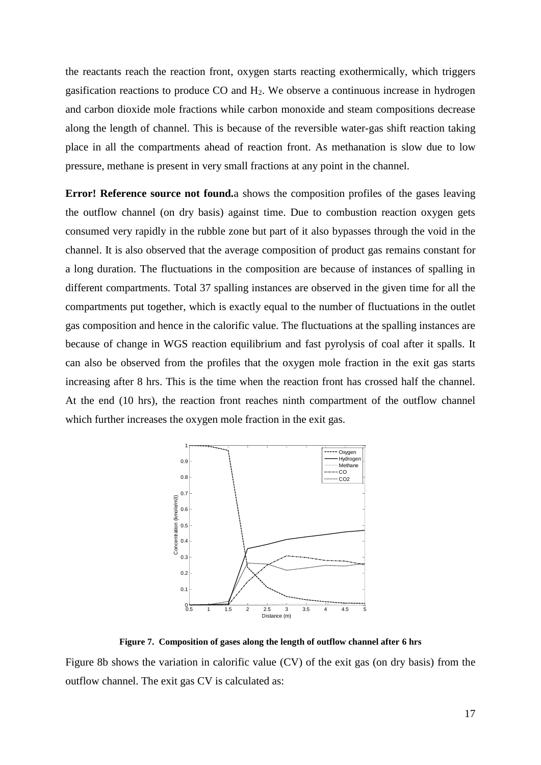the reactants reach the reaction front, oxygen starts reacting exothermically, which triggers gasification reactions to produce  $CO$  and  $H<sub>2</sub>$ . We observe a continuous increase in hydrogen and carbon dioxide mole fractions while carbon monoxide and steam compositions decrease along the length of channel. This is because of the reversible water-gas shift reaction taking place in all the compartments ahead of reaction front. As methanation is slow due to low pressure, methane is present in very small fractions at any point in the channel.

**Error! Reference source not found.**a shows the composition profiles of the gases leaving the outflow channel (on dry basis) against time. Due to combustion reaction oxygen gets consumed very rapidly in the rubble zone but part of it also bypasses through the void in the channel. It is also observed that the average composition of product gas remains constant for a long duration. The fluctuations in the composition are because of instances of spalling in different compartments. Total 37 spalling instances are observed in the given time for all the compartments put together, which is exactly equal to the number of fluctuations in the outlet gas composition and hence in the calorific value. The fluctuations at the spalling instances are because of change in WGS reaction equilibrium and fast pyrolysis of coal after it spalls. It can also be observed from the profiles that the oxygen mole fraction in the exit gas starts increasing after 8 hrs. This is the time when the reaction front has crossed half the channel. At the end (10 hrs), the reaction front reaches ninth compartment of the outflow channel which further increases the oxygen mole fraction in the exit gas.



**Figure 7. Composition of gases along the length of outflow channel after 6 hrs**

Figure 8b shows the variation in calorific value (CV) of the exit gas (on dry basis) from the outflow channel. The exit gas CV is calculated as: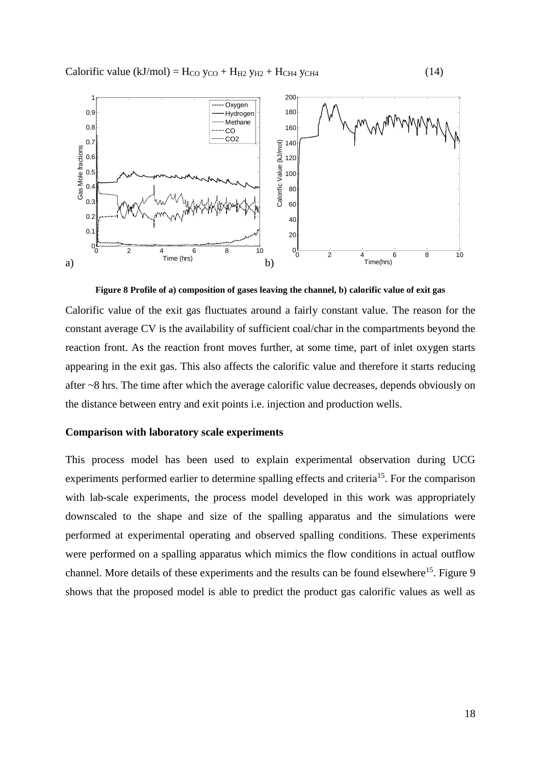

**Figure 8 Profile of a) composition of gases leaving the channel, b) calorific value of exit gas**

Calorific value of the exit gas fluctuates around a fairly constant value. The reason for the constant average CV is the availability of sufficient coal/char in the compartments beyond the reaction front. As the reaction front moves further, at some time, part of inlet oxygen starts appearing in the exit gas. This also affects the calorific value and therefore it starts reducing after ~8 hrs. The time after which the average calorific value decreases, depends obviously on the distance between entry and exit points i.e. injection and production wells.

## **Comparison with laboratory scale experiments**

This process model has been used to explain experimental observation during UCG experiments performed earlier to determine spalling effects and criteria<sup>15</sup>. For the comparison with lab-scale experiments, the process model developed in this work was appropriately downscaled to the shape and size of the spalling apparatus and the simulations were performed at experimental operating and observed spalling conditions. These experiments were performed on a spalling apparatus which mimics the flow conditions in actual outflow channel. More details of these experiments and the results can be found elsewhere<sup>15</sup>. Figure 9 shows that the proposed model is able to predict the product gas calorific values as well as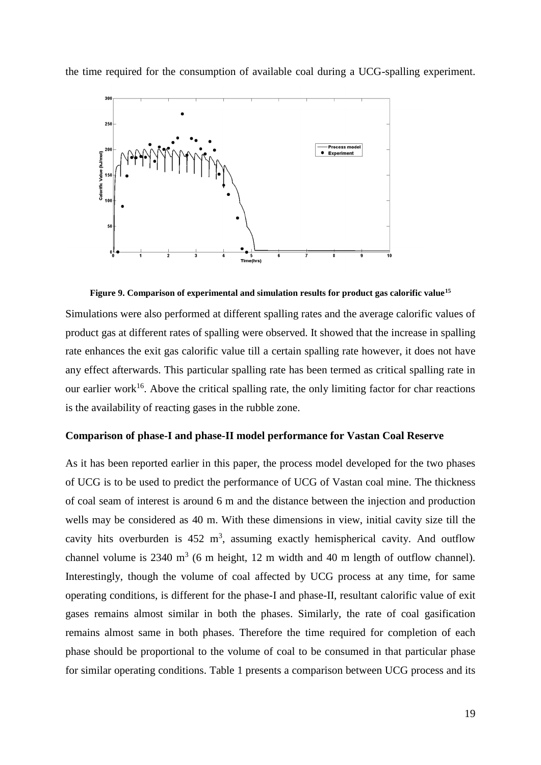the time required for the consumption of available coal during a UCG-spalling experiment.





Simulations were also performed at different spalling rates and the average calorific values of product gas at different rates of spalling were observed. It showed that the increase in spalling rate enhances the exit gas calorific value till a certain spalling rate however, it does not have any effect afterwards. This particular spalling rate has been termed as critical spalling rate in our earlier work<sup>16</sup>. Above the critical spalling rate, the only limiting factor for char reactions is the availability of reacting gases in the rubble zone.

#### **Comparison of phase-I and phase-II model performance for Vastan Coal Reserve**

As it has been reported earlier in this paper, the process model developed for the two phases of UCG is to be used to predict the performance of UCG of Vastan coal mine. The thickness of coal seam of interest is around 6 m and the distance between the injection and production wells may be considered as 40 m. With these dimensions in view, initial cavity size till the cavity hits overburden is  $452 \text{ m}^3$ , assuming exactly hemispherical cavity. And outflow channel volume is  $2340 \text{ m}^3$  (6 m height, 12 m width and 40 m length of outflow channel). Interestingly, though the volume of coal affected by UCG process at any time, for same operating conditions, is different for the phase-I and phase-II, resultant calorific value of exit gases remains almost similar in both the phases. Similarly, the rate of coal gasification remains almost same in both phases. Therefore the time required for completion of each phase should be proportional to the volume of coal to be consumed in that particular phase for similar operating conditions. Table 1 presents a comparison between UCG process and its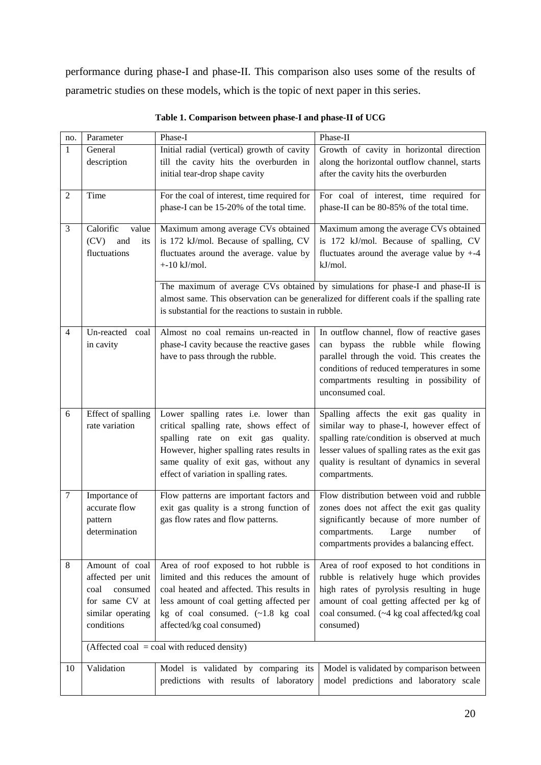performance during phase-I and phase-II. This comparison also uses some of the results of parametric studies on these models, which is the topic of next paper in this series.

| no.              | Parameter                                              | Phase-I                                                                         | Phase-II                                                                                  |  |
|------------------|--------------------------------------------------------|---------------------------------------------------------------------------------|-------------------------------------------------------------------------------------------|--|
| $\mathbf{1}$     | General                                                | Initial radial (vertical) growth of cavity                                      | Growth of cavity in horizontal direction                                                  |  |
|                  | description                                            | till the cavity hits the overburden in                                          | along the horizontal outflow channel, starts                                              |  |
|                  |                                                        | initial tear-drop shape cavity                                                  | after the cavity hits the overburden                                                      |  |
|                  |                                                        |                                                                                 |                                                                                           |  |
| $\overline{2}$   | Time                                                   | For the coal of interest, time required for                                     | For coal of interest, time required for                                                   |  |
|                  |                                                        | phase-I can be 15-20% of the total time.                                        | phase-II can be 80-85% of the total time.                                                 |  |
| 3                | Calorific<br>value                                     | Maximum among average CVs obtained                                              | Maximum among the average CVs obtained                                                    |  |
|                  | (CV)<br>and<br>its                                     | is 172 kJ/mol. Because of spalling, CV                                          | is 172 kJ/mol. Because of spalling, CV                                                    |  |
|                  | fluctuations                                           | fluctuates around the average. value by                                         | fluctuates around the average value by $+4$                                               |  |
|                  |                                                        | $+10$ kJ/mol.                                                                   | kJ/mol.                                                                                   |  |
|                  |                                                        |                                                                                 | The maximum of average CVs obtained by simulations for phase-I and phase-II is            |  |
|                  |                                                        |                                                                                 | almost same. This observation can be generalized for different coals if the spalling rate |  |
|                  |                                                        |                                                                                 |                                                                                           |  |
|                  | is substantial for the reactions to sustain in rubble. |                                                                                 |                                                                                           |  |
| $\overline{4}$   | Un-reacted coal                                        | Almost no coal remains un-reacted in                                            | In outflow channel, flow of reactive gases                                                |  |
|                  | in cavity                                              | phase-I cavity because the reactive gases                                       | can bypass the rubble while flowing                                                       |  |
|                  |                                                        | have to pass through the rubble.                                                | parallel through the void. This creates the                                               |  |
|                  |                                                        |                                                                                 | conditions of reduced temperatures in some                                                |  |
|                  |                                                        |                                                                                 | compartments resulting in possibility of                                                  |  |
|                  |                                                        |                                                                                 | unconsumed coal.                                                                          |  |
|                  |                                                        |                                                                                 |                                                                                           |  |
| 6                | Effect of spalling                                     | Lower spalling rates i.e. lower than                                            | Spalling affects the exit gas quality in                                                  |  |
|                  | rate variation                                         | critical spalling rate, shows effect of                                         | similar way to phase-I, however effect of                                                 |  |
|                  |                                                        | spalling rate on exit gas quality.                                              | spalling rate/condition is observed at much                                               |  |
|                  |                                                        | However, higher spalling rates results in                                       | lesser values of spalling rates as the exit gas                                           |  |
|                  |                                                        | same quality of exit gas, without any<br>effect of variation in spalling rates. | quality is resultant of dynamics in several                                               |  |
|                  |                                                        |                                                                                 | compartments.                                                                             |  |
| $\boldsymbol{7}$ | Importance of                                          | Flow patterns are important factors and                                         | Flow distribution between void and rubble                                                 |  |
|                  | accurate flow                                          | exit gas quality is a strong function of                                        | zones does not affect the exit gas quality                                                |  |
|                  | pattern                                                | gas flow rates and flow patterns.                                               | significantly because of more number of                                                   |  |
|                  | determination                                          |                                                                                 | compartments.<br>Large<br>number<br>of                                                    |  |
|                  |                                                        |                                                                                 | compartments provides a balancing effect.                                                 |  |
|                  |                                                        |                                                                                 |                                                                                           |  |
| 8                | Amount of coal                                         | Area of roof exposed to hot rubble is                                           | Area of roof exposed to hot conditions in                                                 |  |
|                  | affected per unit                                      | limited and this reduces the amount of                                          | rubble is relatively huge which provides                                                  |  |
|                  | coal<br>consumed                                       | coal heated and affected. This results in                                       | high rates of pyrolysis resulting in huge                                                 |  |
|                  | for same CV at                                         | less amount of coal getting affected per                                        | amount of coal getting affected per kg of                                                 |  |
|                  | similar operating                                      | kg of coal consumed. (~1.8 kg coal                                              | coal consumed. (~4 kg coal affected/kg coal                                               |  |
|                  | conditions                                             | affected/kg coal consumed)                                                      | consumed)                                                                                 |  |
|                  |                                                        | (Affected coal = coal with reduced density)                                     |                                                                                           |  |
|                  |                                                        |                                                                                 |                                                                                           |  |
| 10               | Validation                                             | Model is validated by comparing its                                             | Model is validated by comparison between                                                  |  |
|                  |                                                        | predictions with results of laboratory                                          | model predictions and laboratory scale                                                    |  |
|                  |                                                        |                                                                                 |                                                                                           |  |

**Table 1. Comparison between phase-I and phase-II of UCG**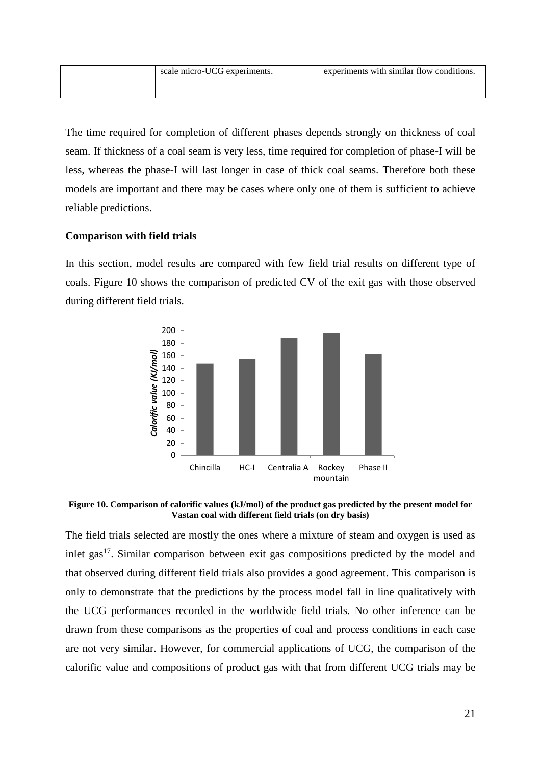|  | scale micro-UCG experiments. | experiments with similar flow conditions. |
|--|------------------------------|-------------------------------------------|
|  |                              |                                           |

The time required for completion of different phases depends strongly on thickness of coal seam. If thickness of a coal seam is very less, time required for completion of phase-I will be less, whereas the phase-I will last longer in case of thick coal seams. Therefore both these models are important and there may be cases where only one of them is sufficient to achieve reliable predictions.

## **Comparison with field trials**

In this section, model results are compared with few field trial results on different type of coals. Figure 10 shows the comparison of predicted CV of the exit gas with those observed during different field trials.



**Figure 10. Comparison of calorific values (kJ/mol) of the product gas predicted by the present model for Vastan coal with different field trials (on dry basis)**

The field trials selected are mostly the ones where a mixture of steam and oxygen is used as inlet gas<sup>17</sup>. Similar comparison between exit gas compositions predicted by the model and that observed during different field trials also provides a good agreement. This comparison is only to demonstrate that the predictions by the process model fall in line qualitatively with the UCG performances recorded in the worldwide field trials. No other inference can be drawn from these comparisons as the properties of coal and process conditions in each case are not very similar. However, for commercial applications of UCG, the comparison of the calorific value and compositions of product gas with that from different UCG trials may be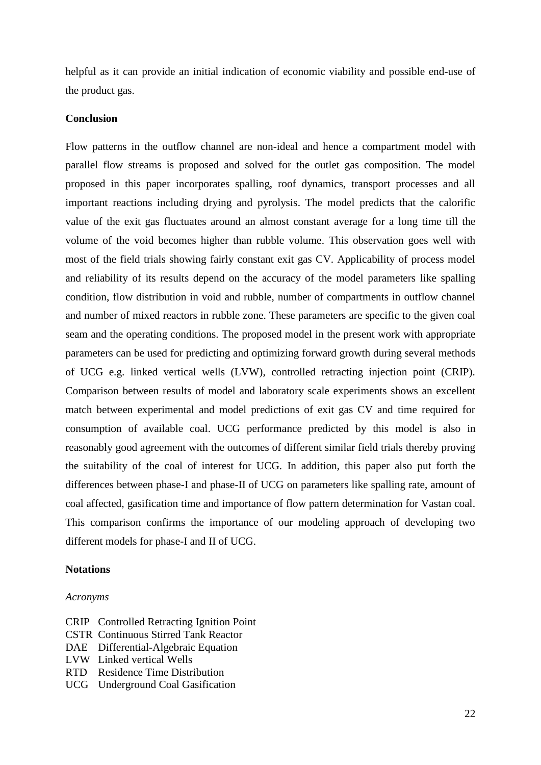helpful as it can provide an initial indication of economic viability and possible end-use of the product gas.

## **Conclusion**

Flow patterns in the outflow channel are non-ideal and hence a compartment model with parallel flow streams is proposed and solved for the outlet gas composition. The model proposed in this paper incorporates spalling, roof dynamics, transport processes and all important reactions including drying and pyrolysis. The model predicts that the calorific value of the exit gas fluctuates around an almost constant average for a long time till the volume of the void becomes higher than rubble volume. This observation goes well with most of the field trials showing fairly constant exit gas CV. Applicability of process model and reliability of its results depend on the accuracy of the model parameters like spalling condition, flow distribution in void and rubble, number of compartments in outflow channel and number of mixed reactors in rubble zone. These parameters are specific to the given coal seam and the operating conditions. The proposed model in the present work with appropriate parameters can be used for predicting and optimizing forward growth during several methods of UCG e.g. linked vertical wells (LVW), controlled retracting injection point (CRIP). Comparison between results of model and laboratory scale experiments shows an excellent match between experimental and model predictions of exit gas CV and time required for consumption of available coal. UCG performance predicted by this model is also in reasonably good agreement with the outcomes of different similar field trials thereby proving the suitability of the coal of interest for UCG. In addition, this paper also put forth the differences between phase-I and phase-II of UCG on parameters like spalling rate, amount of coal affected, gasification time and importance of flow pattern determination for Vastan coal. This comparison confirms the importance of our modeling approach of developing two different models for phase-I and II of UCG.

## **Notations**

#### *Acronyms*

- CRIP Controlled Retracting Ignition Point
- CSTR Continuous Stirred Tank Reactor
- DAE Differential-Algebraic Equation
- LVW Linked vertical Wells
- RTD Residence Time Distribution
- UCG Underground Coal Gasification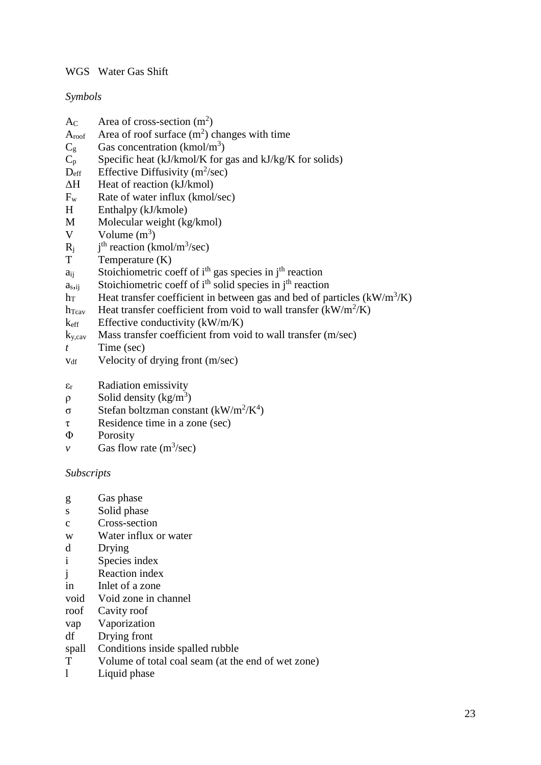## WGS Water Gas Shift

## *Symbols*

- $A_C$  Area of cross-section (m<sup>2</sup>)
- $A_{\text{roof}}$  Area of roof surface  $(m^2)$  changes with time
- $C_g$  Gas concentration (kmol/m<sup>3</sup>)
- $C_p$  Specific heat (kJ/kmol/K for gas and kJ/kg/K for solids)
- $D_{\text{eff}}$  Effective Diffusivity (m<sup>2</sup>/sec)
- ΔH Heat of reaction (kJ/kmol)
- $F_w$  Rate of water influx (kmol/sec)
- H Enthalpy (kJ/kmole)
- M Molecular weight (kg/kmol)
- V Volume  $(m^3)$
- $R_i$  $<sup>th</sup>$  reaction (kmol/m<sup>3</sup>/sec)</sup>
- T Temperature (K)
- $a_{ii}$  Stoichiometric coeff of i<sup>th</sup> gas species in j<sup>th</sup> reaction
- $a<sub>s</sub>$ <sub>ii</sub> Stoichiometric coeff of i<sup>th</sup> solid species in j<sup>th</sup> reaction
- h<sub>T</sub> Heat transfer coefficient in between gas and bed of particles  $(kW/m^3/K)$
- $h_{\text{Tcav}}$  Heat transfer coefficient from void to wall transfer (kW/m<sup>2</sup>/K)
- $k<sub>eff</sub>$  Effective conductivity (kW/m/K)
- $k_{\rm{v, cav}}$  Mass transfer coefficient from void to wall transfer (m/sec)
- *t* Time (sec)
- $v_{df}$  Velocity of drying front (m/sec)
- $\varepsilon_r$  Radiation emissivity
- $ρ$  Solid density (kg/m<sup>3</sup>)
- σ Stefan boltzman constant (kW/m<sup>2</sup>/K<sup>4</sup>)
- τ Residence time in a zone (sec)
- Φ Porosity
- *v* Gas flow rate  $(m^3/sec)$

## *Subscripts*

- g Gas phase
- s Solid phase
- c Cross-section
- w Water influx or water
- d Drying
- i Species index
- j Reaction index
- in Inlet of a zone
- void Void zone in channel
- roof Cavity roof
- vap Vaporization
- df Drying front
- spall Conditions inside spalled rubble
- T Volume of total coal seam (at the end of wet zone)
- l Liquid phase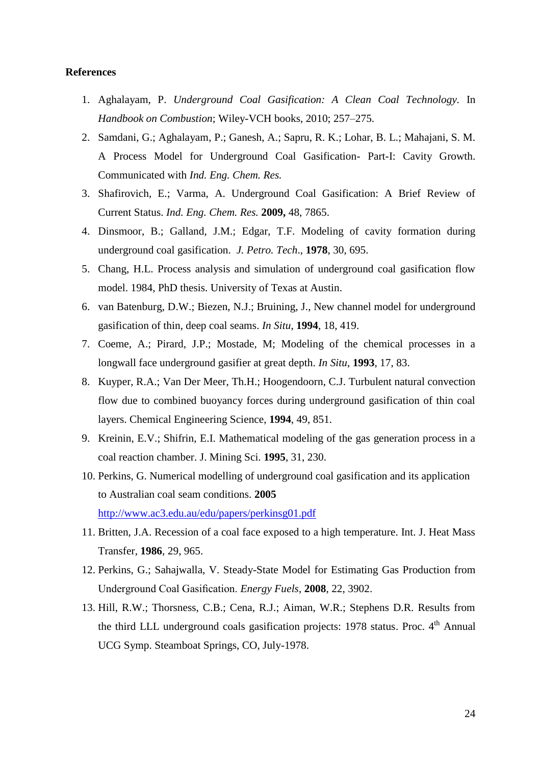#### **References**

- 1. Aghalayam, P. *Underground Coal Gasification: A Clean Coal Technology.* In *Handbook on Combustion*; Wiley-VCH books, 2010; 257–275.
- 2. Samdani, G.; Aghalayam, P.; Ganesh, A.; Sapru, R. K.; Lohar, B. L.; Mahajani, S. M. A Process Model for Underground Coal Gasification- Part-I: Cavity Growth. Communicated with *Ind. Eng. Chem. Res.*
- 3. Shafirovich, E.; Varma, A. Underground Coal Gasification: A Brief Review of Current Status. *Ind. Eng. Chem. Res.* **2009,** 48, 7865.
- 4. Dinsmoor, B.; Galland, J.M.; Edgar, T.F. Modeling of cavity formation during underground coal gasification. *J. Petro. Tech*., **1978**, 30, 695.
- 5. Chang, H.L. Process analysis and simulation of underground coal gasification flow model. 1984, PhD thesis. University of Texas at Austin.
- 6. van Batenburg, D.W.; Biezen, N.J.; Bruining, J., New channel model for underground gasification of thin, deep coal seams. *In Situ*, **1994**, 18, 419.
- 7. Coeme, A.; Pirard, J.P.; Mostade, M; Modeling of the chemical processes in a longwall face underground gasifier at great depth. *In Situ*, **1993**, 17, 83.
- 8. Kuyper, R.A.; Van Der Meer, Th.H.; Hoogendoorn, C.J. Turbulent natural convection flow due to combined buoyancy forces during underground gasification of thin coal layers. Chemical Engineering Science, **1994**, 49, 851.
- 9. Kreinin, E.V.; Shifrin, E.I. Mathematical modeling of the gas generation process in a coal reaction chamber. J. Mining Sci. **1995**, 31, 230.
- 10. Perkins, G. Numerical modelling of underground coal gasification and its application to Australian coal seam conditions. **2005** <http://www.ac3.edu.au/edu/papers/perkinsg01.pdf>
- 11. Britten, J.A. Recession of a coal face exposed to a high temperature. Int. J. Heat Mass Transfer, **1986**, 29, 965.
- 12. Perkins, G.; Sahajwalla, V. Steady-State Model for Estimating Gas Production from Underground Coal Gasification. *Energy Fuels*, **2008**, 22, 3902.
- 13. Hill, R.W.; Thorsness, C.B.; Cena, R.J.; Aiman, W.R.; Stephens D.R. Results from the third LLL underground coals gasification projects: 1978 status. Proc. 4<sup>th</sup> Annual UCG Symp. Steamboat Springs, CO, July-1978.